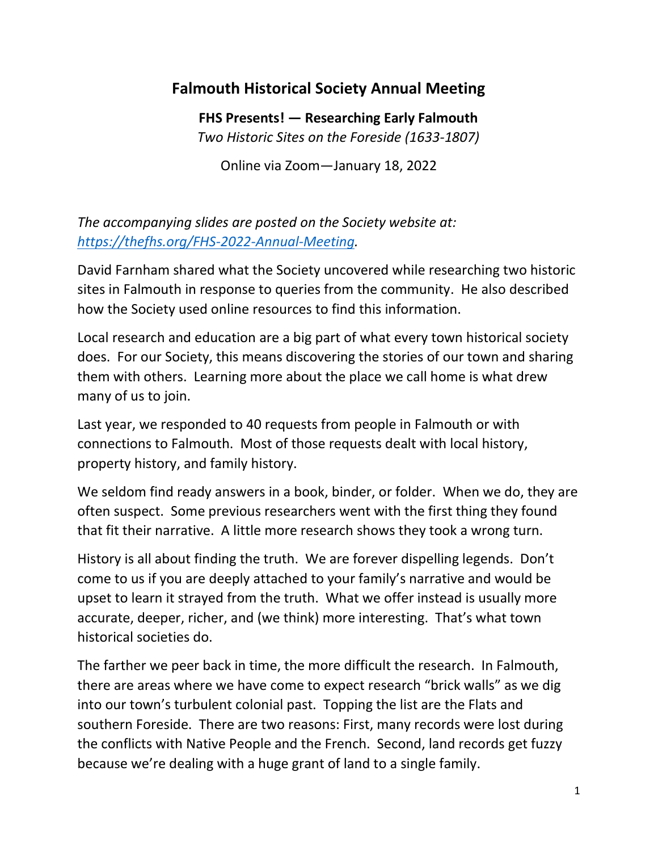## **Falmouth Historical Society Annual Meeting**

**FHS Presents! — Researching Early Falmouth** *Two Historic Sites on the Foreside (1633-1807)*

Online via Zoom—January 18, 2022

*The accompanying slides are posted on the Society website at: [https://thefhs.org/FHS-2022-Annual-Meeting.](https://thefhs.org/FHS-2022-Annual-Meeting)*

David Farnham shared what the Society uncovered while researching two historic sites in Falmouth in response to queries from the community. He also described how the Society used online resources to find this information.

Local research and education are a big part of what every town historical society does. For our Society, this means discovering the stories of our town and sharing them with others. Learning more about the place we call home is what drew many of us to join.

Last year, we responded to 40 requests from people in Falmouth or with connections to Falmouth. Most of those requests dealt with local history, property history, and family history.

We seldom find ready answers in a book, binder, or folder. When we do, they are often suspect. Some previous researchers went with the first thing they found that fit their narrative. A little more research shows they took a wrong turn.

History is all about finding the truth. We are forever dispelling legends. Don't come to us if you are deeply attached to your family's narrative and would be upset to learn it strayed from the truth. What we offer instead is usually more accurate, deeper, richer, and (we think) more interesting. That's what town historical societies do.

The farther we peer back in time, the more difficult the research. In Falmouth, there are areas where we have come to expect research "brick walls" as we dig into our town's turbulent colonial past. Topping the list are the Flats and southern Foreside. There are two reasons: First, many records were lost during the conflicts with Native People and the French. Second, land records get fuzzy because we're dealing with a huge grant of land to a single family.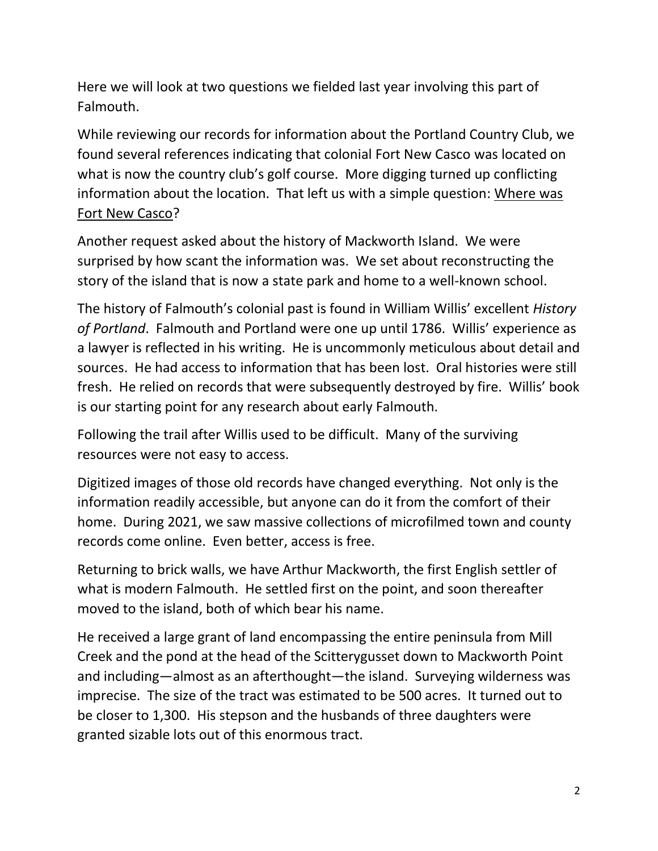Here we will look at two questions we fielded last year involving this part of Falmouth.

While reviewing our records for information about the Portland Country Club, we found several references indicating that colonial Fort New Casco was located on what is now the country club's golf course. More digging turned up conflicting information about the location. That left us with a simple question: Where was Fort New Casco?

Another request asked about the history of Mackworth Island. We were surprised by how scant the information was. We set about reconstructing the story of the island that is now a state park and home to a well-known school.

The history of Falmouth's colonial past is found in William Willis' excellent *History of Portland*. Falmouth and Portland were one up until 1786. Willis' experience as a lawyer is reflected in his writing. He is uncommonly meticulous about detail and sources. He had access to information that has been lost. Oral histories were still fresh. He relied on records that were subsequently destroyed by fire. Willis' book is our starting point for any research about early Falmouth.

Following the trail after Willis used to be difficult. Many of the surviving resources were not easy to access.

Digitized images of those old records have changed everything. Not only is the information readily accessible, but anyone can do it from the comfort of their home. During 2021, we saw massive collections of microfilmed town and county records come online. Even better, access is free.

Returning to brick walls, we have Arthur Mackworth, the first English settler of what is modern Falmouth. He settled first on the point, and soon thereafter moved to the island, both of which bear his name.

He received a large grant of land encompassing the entire peninsula from Mill Creek and the pond at the head of the Scitterygusset down to Mackworth Point and including—almost as an afterthought—the island. Surveying wilderness was imprecise. The size of the tract was estimated to be 500 acres. It turned out to be closer to 1,300. His stepson and the husbands of three daughters were granted sizable lots out of this enormous tract.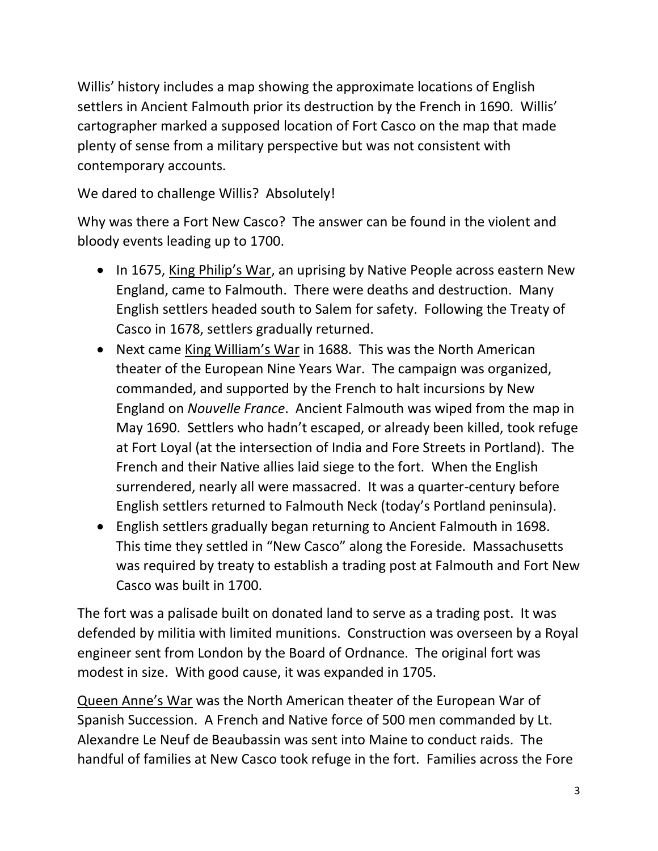Willis' history includes a map showing the approximate locations of English settlers in Ancient Falmouth prior its destruction by the French in 1690. Willis' cartographer marked a supposed location of Fort Casco on the map that made plenty of sense from a military perspective but was not consistent with contemporary accounts.

We dared to challenge Willis? Absolutely!

Why was there a Fort New Casco? The answer can be found in the violent and bloody events leading up to 1700.

- In 1675, King Philip's War, an uprising by Native People across eastern New England, came to Falmouth. There were deaths and destruction. Many English settlers headed south to Salem for safety. Following the Treaty of Casco in 1678, settlers gradually returned.
- Next came King William's War in 1688. This was the North American theater of the European Nine Years War. The campaign was organized, commanded, and supported by the French to halt incursions by New England on *Nouvelle France*. Ancient Falmouth was wiped from the map in May 1690. Settlers who hadn't escaped, or already been killed, took refuge at Fort Loyal (at the intersection of India and Fore Streets in Portland). The French and their Native allies laid siege to the fort. When the English surrendered, nearly all were massacred. It was a quarter-century before English settlers returned to Falmouth Neck (today's Portland peninsula).
- English settlers gradually began returning to Ancient Falmouth in 1698. This time they settled in "New Casco" along the Foreside. Massachusetts was required by treaty to establish a trading post at Falmouth and Fort New Casco was built in 1700.

The fort was a palisade built on donated land to serve as a trading post. It was defended by militia with limited munitions. Construction was overseen by a Royal engineer sent from London by the Board of Ordnance. The original fort was modest in size. With good cause, it was expanded in 1705.

Queen Anne's War was the North American theater of the European War of Spanish Succession. A French and Native force of 500 men commanded by Lt. Alexandre Le Neuf de Beaubassin was sent into Maine to conduct raids. The handful of families at New Casco took refuge in the fort. Families across the Fore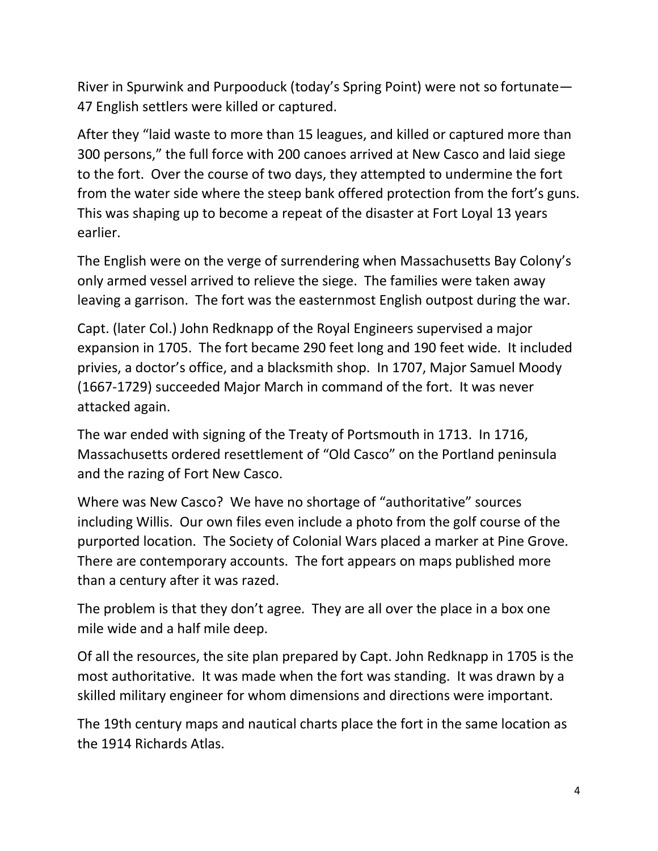River in Spurwink and Purpooduck (today's Spring Point) were not so fortunate— 47 English settlers were killed or captured.

After they "laid waste to more than 15 leagues, and killed or captured more than 300 persons," the full force with 200 canoes arrived at New Casco and laid siege to the fort. Over the course of two days, they attempted to undermine the fort from the water side where the steep bank offered protection from the fort's guns. This was shaping up to become a repeat of the disaster at Fort Loyal 13 years earlier.

The English were on the verge of surrendering when Massachusetts Bay Colony's only armed vessel arrived to relieve the siege. The families were taken away leaving a garrison. The fort was the easternmost English outpost during the war.

Capt. (later Col.) John Redknapp of the Royal Engineers supervised a major expansion in 1705. The fort became 290 feet long and 190 feet wide. It included privies, a doctor's office, and a blacksmith shop. In 1707, Major Samuel Moody (1667-1729) succeeded Major March in command of the fort. It was never attacked again.

The war ended with signing of the Treaty of Portsmouth in 1713. In 1716, Massachusetts ordered resettlement of "Old Casco" on the Portland peninsula and the razing of Fort New Casco.

Where was New Casco? We have no shortage of "authoritative" sources including Willis. Our own files even include a photo from the golf course of the purported location. The Society of Colonial Wars placed a marker at Pine Grove. There are contemporary accounts. The fort appears on maps published more than a century after it was razed.

The problem is that they don't agree. They are all over the place in a box one mile wide and a half mile deep.

Of all the resources, the site plan prepared by Capt. John Redknapp in 1705 is the most authoritative. It was made when the fort was standing. It was drawn by a skilled military engineer for whom dimensions and directions were important.

The 19th century maps and nautical charts place the fort in the same location as the 1914 Richards Atlas.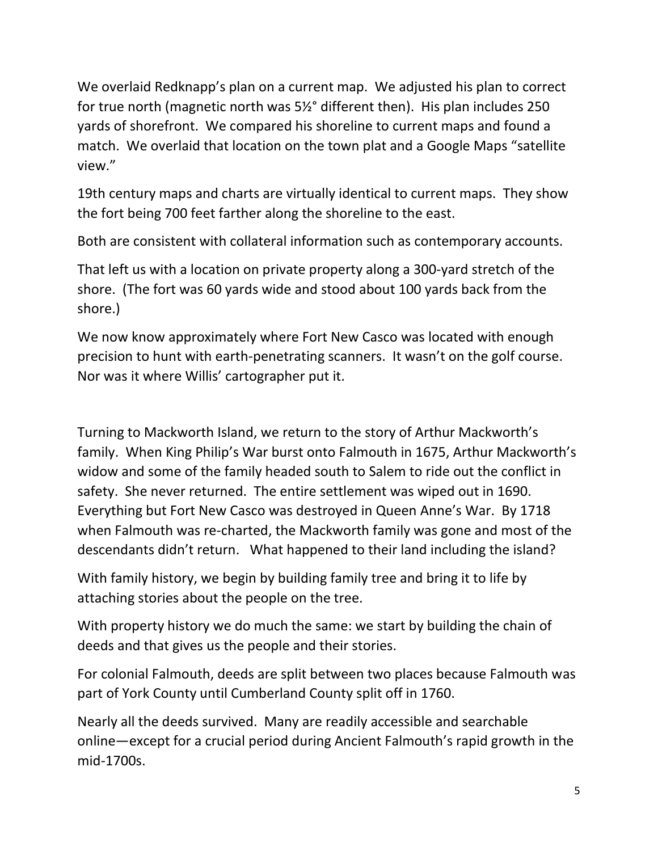We overlaid Redknapp's plan on a current map. We adjusted his plan to correct for true north (magnetic north was 5½° different then). His plan includes 250 yards of shorefront. We compared his shoreline to current maps and found a match. We overlaid that location on the town plat and a Google Maps "satellite view."

19th century maps and charts are virtually identical to current maps. They show the fort being 700 feet farther along the shoreline to the east.

Both are consistent with collateral information such as contemporary accounts.

That left us with a location on private property along a 300-yard stretch of the shore. (The fort was 60 yards wide and stood about 100 yards back from the shore.)

We now know approximately where Fort New Casco was located with enough precision to hunt with earth-penetrating scanners. It wasn't on the golf course. Nor was it where Willis' cartographer put it.

Turning to Mackworth Island, we return to the story of Arthur Mackworth's family. When King Philip's War burst onto Falmouth in 1675, Arthur Mackworth's widow and some of the family headed south to Salem to ride out the conflict in safety. She never returned. The entire settlement was wiped out in 1690. Everything but Fort New Casco was destroyed in Queen Anne's War. By 1718 when Falmouth was re-charted, the Mackworth family was gone and most of the descendants didn't return. What happened to their land including the island?

With family history, we begin by building family tree and bring it to life by attaching stories about the people on the tree.

With property history we do much the same: we start by building the chain of deeds and that gives us the people and their stories.

For colonial Falmouth, deeds are split between two places because Falmouth was part of York County until Cumberland County split off in 1760.

Nearly all the deeds survived. Many are readily accessible and searchable online—except for a crucial period during Ancient Falmouth's rapid growth in the mid-1700s.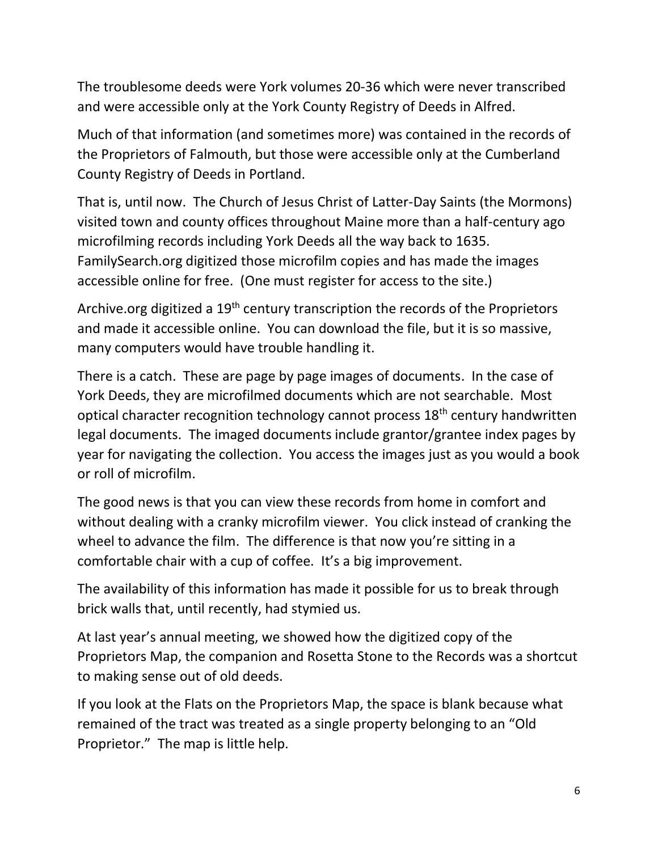The troublesome deeds were York volumes 20-36 which were never transcribed and were accessible only at the York County Registry of Deeds in Alfred.

Much of that information (and sometimes more) was contained in the records of the Proprietors of Falmouth, but those were accessible only at the Cumberland County Registry of Deeds in Portland.

That is, until now. The Church of Jesus Christ of Latter-Day Saints (the Mormons) visited town and county offices throughout Maine more than a half-century ago microfilming records including York Deeds all the way back to 1635. FamilySearch.org digitized those microfilm copies and has made the images accessible online for free. (One must register for access to the site.)

Archive.org digitized a 19<sup>th</sup> century transcription the records of the Proprietors and made it accessible online. You can download the file, but it is so massive, many computers would have trouble handling it.

There is a catch. These are page by page images of documents. In the case of York Deeds, they are microfilmed documents which are not searchable. Most optical character recognition technology cannot process 18<sup>th</sup> century handwritten legal documents. The imaged documents include grantor/grantee index pages by year for navigating the collection. You access the images just as you would a book or roll of microfilm.

The good news is that you can view these records from home in comfort and without dealing with a cranky microfilm viewer. You click instead of cranking the wheel to advance the film. The difference is that now you're sitting in a comfortable chair with a cup of coffee. It's a big improvement.

The availability of this information has made it possible for us to break through brick walls that, until recently, had stymied us.

At last year's annual meeting, we showed how the digitized copy of the Proprietors Map, the companion and Rosetta Stone to the Records was a shortcut to making sense out of old deeds.

If you look at the Flats on the Proprietors Map, the space is blank because what remained of the tract was treated as a single property belonging to an "Old Proprietor." The map is little help.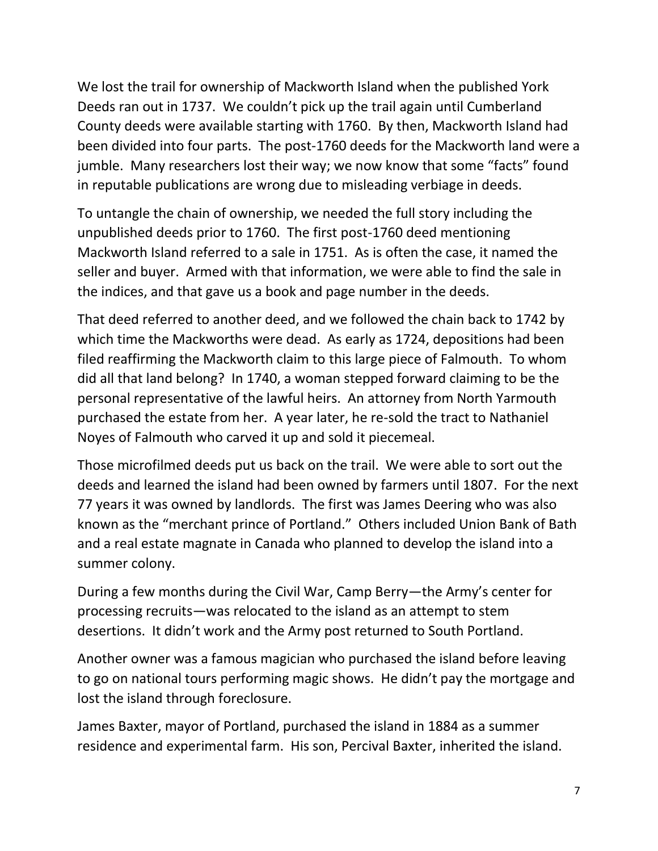We lost the trail for ownership of Mackworth Island when the published York Deeds ran out in 1737. We couldn't pick up the trail again until Cumberland County deeds were available starting with 1760. By then, Mackworth Island had been divided into four parts. The post-1760 deeds for the Mackworth land were a jumble. Many researchers lost their way; we now know that some "facts" found in reputable publications are wrong due to misleading verbiage in deeds.

To untangle the chain of ownership, we needed the full story including the unpublished deeds prior to 1760. The first post-1760 deed mentioning Mackworth Island referred to a sale in 1751. As is often the case, it named the seller and buyer. Armed with that information, we were able to find the sale in the indices, and that gave us a book and page number in the deeds.

That deed referred to another deed, and we followed the chain back to 1742 by which time the Mackworths were dead. As early as 1724, depositions had been filed reaffirming the Mackworth claim to this large piece of Falmouth. To whom did all that land belong? In 1740, a woman stepped forward claiming to be the personal representative of the lawful heirs. An attorney from North Yarmouth purchased the estate from her. A year later, he re-sold the tract to Nathaniel Noyes of Falmouth who carved it up and sold it piecemeal.

Those microfilmed deeds put us back on the trail. We were able to sort out the deeds and learned the island had been owned by farmers until 1807. For the next 77 years it was owned by landlords. The first was James Deering who was also known as the "merchant prince of Portland." Others included Union Bank of Bath and a real estate magnate in Canada who planned to develop the island into a summer colony.

During a few months during the Civil War, Camp Berry—the Army's center for processing recruits—was relocated to the island as an attempt to stem desertions. It didn't work and the Army post returned to South Portland.

Another owner was a famous magician who purchased the island before leaving to go on national tours performing magic shows. He didn't pay the mortgage and lost the island through foreclosure.

James Baxter, mayor of Portland, purchased the island in 1884 as a summer residence and experimental farm. His son, Percival Baxter, inherited the island.